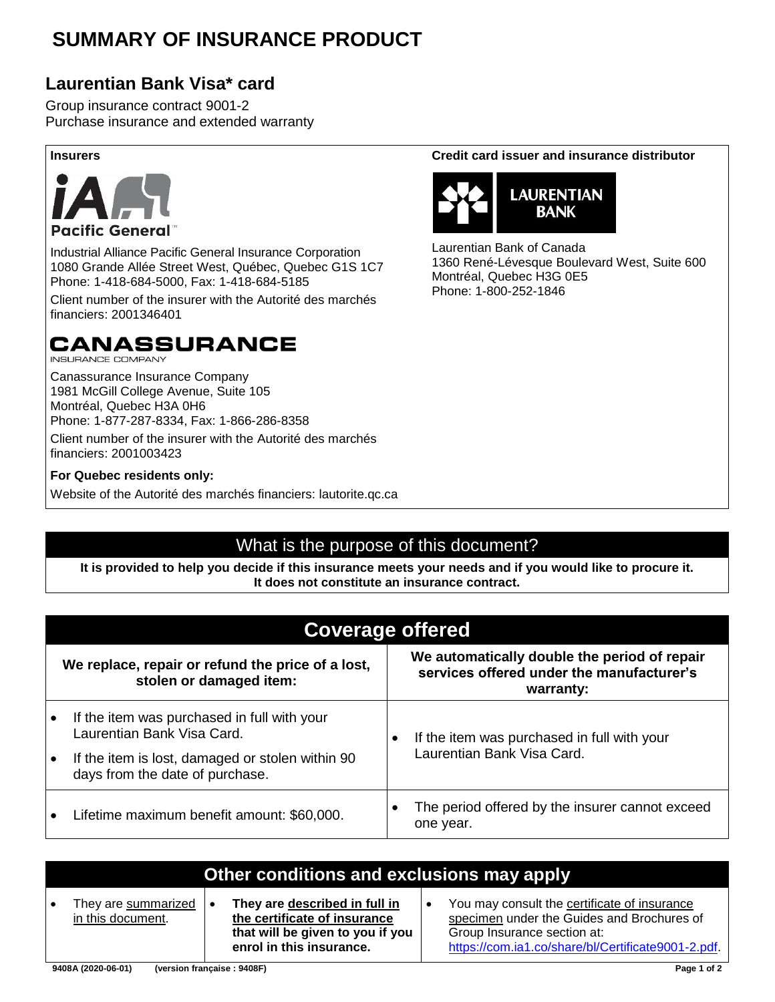### **SUMMARY OF INSURANCE PRODUCT**

### **Laurentian Bank Visa\* card**

Group insurance contract 9001-2 Purchase insurance and extended warranty



Industrial Alliance Pacific General Insurance Corporation 1080 Grande Allée Street West, Québec, Quebec G1S 1C7 Phone: 1-418-684-5000, Fax: 1-418-684-5185

Client number of the insurer with the Autorité des marchés financiers: 2001346401

### **CANASSURANCE**

**INSURANCE COMPANY** 

Canassurance Insurance Company 1981 McGill College Avenue, Suite 105 Montréal, Quebec H3A 0H6 Phone: 1-877-287-8334, Fax: 1-866-286-8358 Client number of the insurer with the Autorité des marchés financiers: 2001003423

#### **For Quebec residents only:**

Website of the Autorité des marchés financiers: lautorite.qc.ca

#### **Insurers Credit card issuer and insurance distributor**



Laurentian Bank of Canada 1360 René-Lévesque Boulevard West, Suite 600 Montréal, Quebec H3G 0E5 Phone: 1-800-252-1846

#### What is the purpose of this document?

**It is provided to help you decide if this insurance meets your needs and if you would like to procure it. It does not constitute an insurance contract.**

| <b>Coverage offered</b>                                                             |                                                                                                        |                                                              |  |  |  |  |  |  |
|-------------------------------------------------------------------------------------|--------------------------------------------------------------------------------------------------------|--------------------------------------------------------------|--|--|--|--|--|--|
| We replace, repair or refund the price of a lost,<br>stolen or damaged item:        | We automatically double the period of repair<br>services offered under the manufacturer's<br>warranty: |                                                              |  |  |  |  |  |  |
| If the item was purchased in full with your<br>Laurentian Bank Visa Card.           |                                                                                                        | If the item was purchased in full with your                  |  |  |  |  |  |  |
| If the item is lost, damaged or stolen within 90<br>days from the date of purchase. |                                                                                                        | Laurentian Bank Visa Card.                                   |  |  |  |  |  |  |
| Lifetime maximum benefit amount: \$60,000.                                          |                                                                                                        | The period offered by the insurer cannot exceed<br>one year. |  |  |  |  |  |  |

| Other conditions and exclusions may apply |  |                                                                                                                               |  |                                                                                                                                                                                 |  |  |  |
|-------------------------------------------|--|-------------------------------------------------------------------------------------------------------------------------------|--|---------------------------------------------------------------------------------------------------------------------------------------------------------------------------------|--|--|--|
| They are summarized<br>in this document.  |  | They are described in full in<br>the certificate of insurance<br>that will be given to you if you<br>enrol in this insurance. |  | You may consult the certificate of insurance<br>specimen under the Guides and Brochures of<br>Group Insurance section at:<br>https://com.ia1.co/share/bl/Certificate9001-2.pdf. |  |  |  |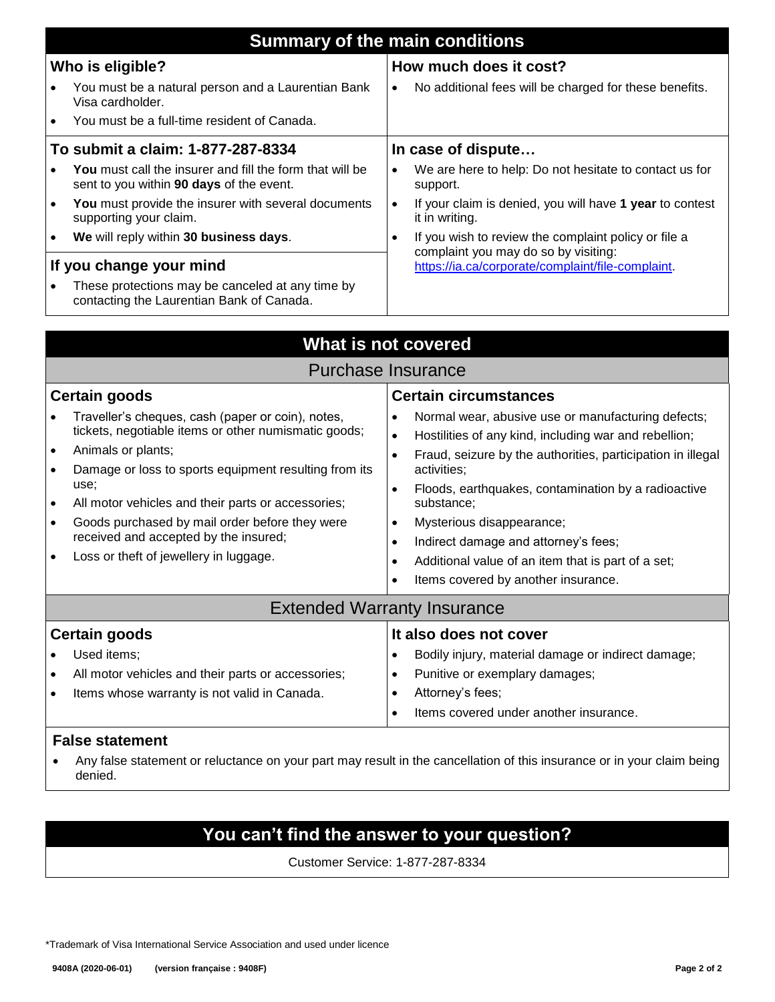|                                   | <b>Summary of the main conditions</b>                                                                              |           |                                                                                              |  |  |  |  |  |
|-----------------------------------|--------------------------------------------------------------------------------------------------------------------|-----------|----------------------------------------------------------------------------------------------|--|--|--|--|--|
| Who is eligible?                  |                                                                                                                    |           | How much does it cost?                                                                       |  |  |  |  |  |
|                                   | You must be a natural person and a Laurentian Bank<br>Visa cardholder.                                             | $\bullet$ | No additional fees will be charged for these benefits.                                       |  |  |  |  |  |
|                                   | You must be a full-time resident of Canada.                                                                        |           |                                                                                              |  |  |  |  |  |
| To submit a claim: 1-877-287-8334 |                                                                                                                    |           | In case of dispute                                                                           |  |  |  |  |  |
|                                   | <b>You</b> must call the insurer and fill the form that will be<br>sent to you within <b>90 days</b> of the event. |           | We are here to help: Do not hesitate to contact us for<br>support.                           |  |  |  |  |  |
| $\bullet$                         | You must provide the insurer with several documents<br>supporting your claim.                                      | $\bullet$ | If your claim is denied, you will have 1 year to contest<br>it in writing.                   |  |  |  |  |  |
| $\bullet$                         | We will reply within 30 business days.                                                                             | $\bullet$ | If you wish to review the complaint policy or file a<br>complaint you may do so by visiting: |  |  |  |  |  |
| If you change your mind           |                                                                                                                    |           | https://ia.ca/corporate/complaint/file-complaint.                                            |  |  |  |  |  |
|                                   | These protections may be canceled at any time by<br>contacting the Laurentian Bank of Canada.                      |           |                                                                                              |  |  |  |  |  |

| What is not covered                                                                                                                                                                                                                                                                                                                                                                                                                                                           |                                                                                                                                                                                                                                                                                                                                                                                                                                                                                                                      |  |  |  |  |  |  |  |
|-------------------------------------------------------------------------------------------------------------------------------------------------------------------------------------------------------------------------------------------------------------------------------------------------------------------------------------------------------------------------------------------------------------------------------------------------------------------------------|----------------------------------------------------------------------------------------------------------------------------------------------------------------------------------------------------------------------------------------------------------------------------------------------------------------------------------------------------------------------------------------------------------------------------------------------------------------------------------------------------------------------|--|--|--|--|--|--|--|
| Purchase Insurance                                                                                                                                                                                                                                                                                                                                                                                                                                                            |                                                                                                                                                                                                                                                                                                                                                                                                                                                                                                                      |  |  |  |  |  |  |  |
| Certain goods<br>Traveller's cheques, cash (paper or coin), notes,<br>tickets, negotiable items or other numismatic goods;<br>Animals or plants;<br>$\bullet$<br>Damage or loss to sports equipment resulting from its<br>$\bullet$<br>use;<br>All motor vehicles and their parts or accessories;<br>$\bullet$<br>Goods purchased by mail order before they were<br>$\bullet$<br>received and accepted by the insured;<br>Loss or theft of jewellery in luggage.<br>$\bullet$ | <b>Certain circumstances</b><br>Normal wear, abusive use or manufacturing defects;<br>Hostilities of any kind, including war and rebellion;<br>$\bullet$<br>Fraud, seizure by the authorities, participation in illegal<br>$\bullet$<br>activities;<br>Floods, earthquakes, contamination by a radioactive<br>$\bullet$<br>substance;<br>Mysterious disappearance;<br>$\bullet$<br>Indirect damage and attorney's fees;<br>Additional value of an item that is part of a set;<br>Items covered by another insurance. |  |  |  |  |  |  |  |
| <b>Extended Warranty Insurance</b>                                                                                                                                                                                                                                                                                                                                                                                                                                            |                                                                                                                                                                                                                                                                                                                                                                                                                                                                                                                      |  |  |  |  |  |  |  |
| <b>Certain goods</b><br>Used items;<br>$\bullet$<br>All motor vehicles and their parts or accessories;<br>$\bullet$<br>Items whose warranty is not valid in Canada.<br>$\bullet$                                                                                                                                                                                                                                                                                              | It also does not cover<br>Bodily injury, material damage or indirect damage;<br>Punitive or exemplary damages;<br>٠<br>Attorney's fees;<br>Items covered under another insurance.                                                                                                                                                                                                                                                                                                                                    |  |  |  |  |  |  |  |

#### **False statement**

• Any false statement or reluctance on your part may result in the cancellation of this insurance or in your claim being denied.

#### **You can't find the answer to your question?**

Customer Service: 1-877-287-8334

\*Trademark of Visa International Service Association and used under licence